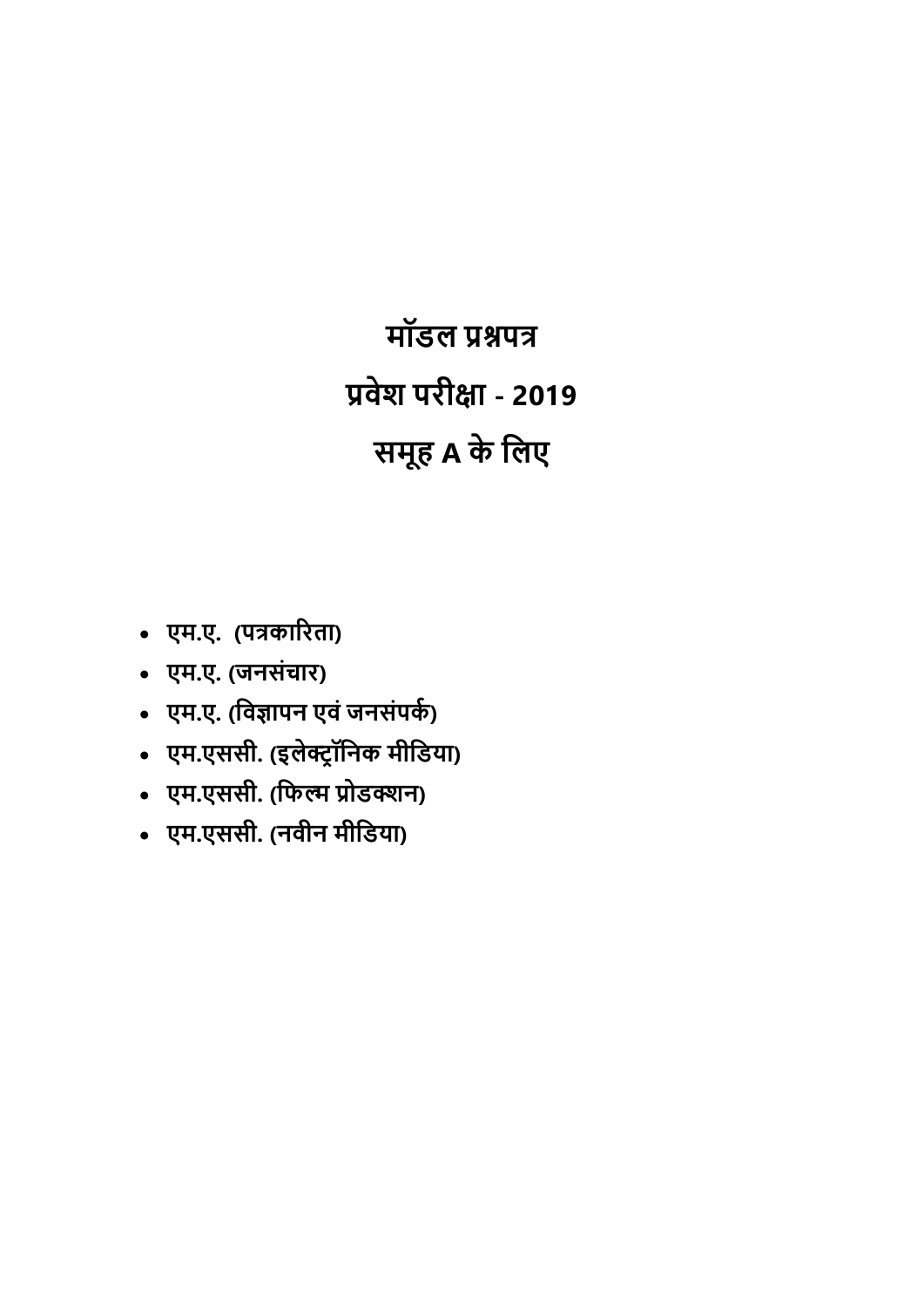**मॉडल प्रश्नपत्र Ůवेश परीƗा - 2019 समूह A के िलए** 

- **एम.ए. (पũकाįरता)**
- **एम.ए. (जनसंचार)**
- एम.ए. (विज्ञापन एवं जनसंप**के**)
- **एम.एससी. (इलेƃŌॉिनक मीिडया)**
- **एम.एससी. (िफʝ Ůोडƕन)**
- **एम.एससी. (नवीन मीिडया)**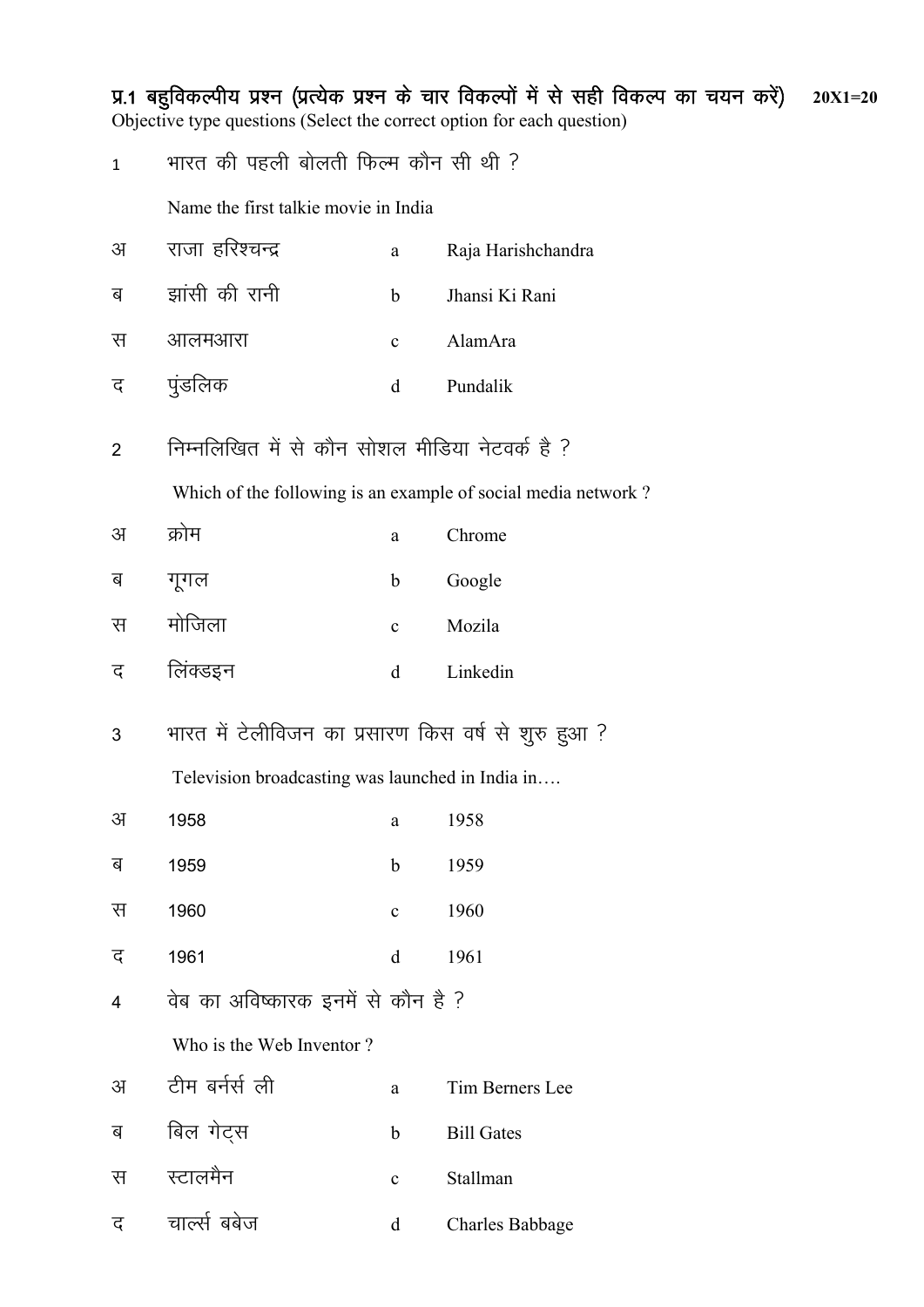iz-1 cgqfodYih; iz'u ¼izR;sd iz'u ds pkj fodYiksa esa ls lgh fodYi dk p;u djsa½ **20X1=20** Objective type questions (Select the correct option for each question)  $1$  भारत की पहली बोलती फिल्म कौन सी थी  $\overline{P}$ Name the first talkie movie in India अ राजा हरिश्चन्द्र a Raja Harishchandra ब झांसी की रानी b Jhansi Ki Rani स आलमआरा c AlamAra द पुंडलिक व d Pundalik 2 जिम्नलिखित में से कौन सोशल मीडिया नेटवर्क है ? Which of the following is an example of social media network ? अक्रोम a Chrome ब गगल b Google l eksftyk c Mozila द लिंक्डइन व d Linkedin 3 भारत में टेलीविजन का प्रसारण किस वर्ष से शुरु हुआ ? Television broadcasting was launched in India in…. v 1958 a 1958 ब 1959 **b** 1959 स 1960 c 1960 द 1961 d 1961 4 विबंका अविष्कारक इनमें से कौन है ? Who is the Web Inventor ? अ टीम बर्नर्स ली a Tim Berners Lee ब बिल गेटस b Bill Gates स स्टालमैन <br />
c Stallman

द चार्ल्स बबेज what descript charles Babbage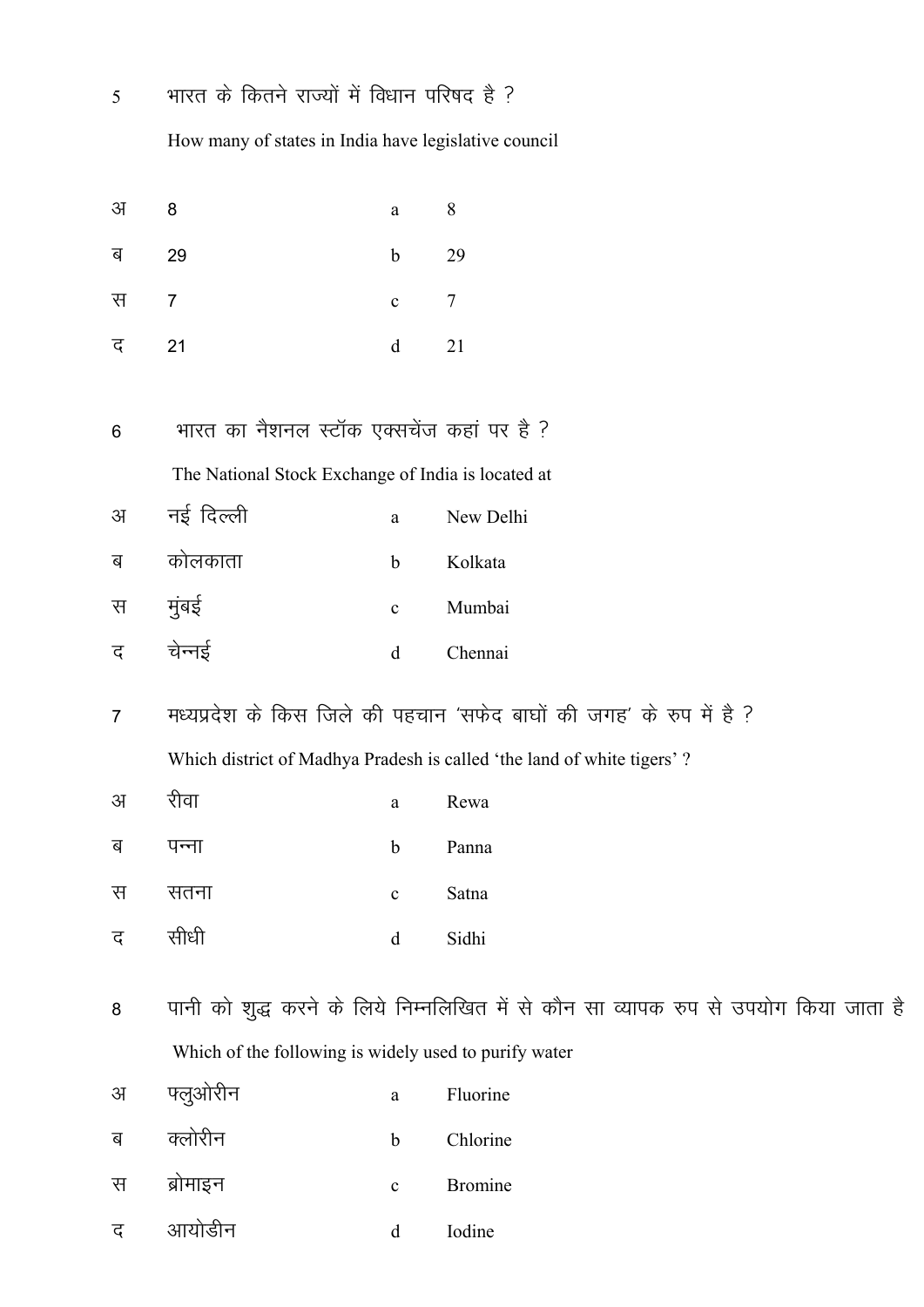$\overline{5}$ 

स

 $\overline{7}$ 

भारत के कितने राज्यों में विधान परिषद है ?

How many of states in India have legislative council

- अ 8 8 a ब 29 29  $\mathbf b$
- 21 द  $\mathbf d$ 21
- भारत का नैशनल स्टॉक एक्सचेंज कहां पर है ?  $6\phantom{a}$

The National Stock Exchange of India is located at

| नई दिल्ली<br>अ |  | New Delhi |
|----------------|--|-----------|
|----------------|--|-----------|

| ब | कोलकाता | h            | Kolkata |
|---|---------|--------------|---------|
| स | मुंबई   | $\mathbf{c}$ | Mumbai  |
| ट | चेन्नई  | d.           | Chennai |

मध्यप्रदेश के किस जिले की पहचान 'सफेद बाघों की जगह' के रुप में है ?  $\overline{7}$ Which district of Madhya Pradesh is called 'the land of white tigers'?

 $\overline{7}$ 

 $\mathbf{c}$ 

- रीवा अ a Rewa
- ब पन्ना Panna  $\mathbf b$
- स सतना Satna  $\mathbf{c}$
- सीधी द Sidhi  $\mathbf d$
- पानी को शुद्ध करने के लिये निम्नलिखित में से कौन सा व्यापक रुप से उपयोग किया जाता है 8 Which of the following is widely used to purify water
- फ्लुओरीन अ  $\mathbf{a}$ Fluorine
- क्लोरीन ब Chlorine  $\mathbf b$
- ब्रोमाइन **Bromine** स  $\mathbf{c}$
- आयोडीन द  $\mathbf d$ Iodine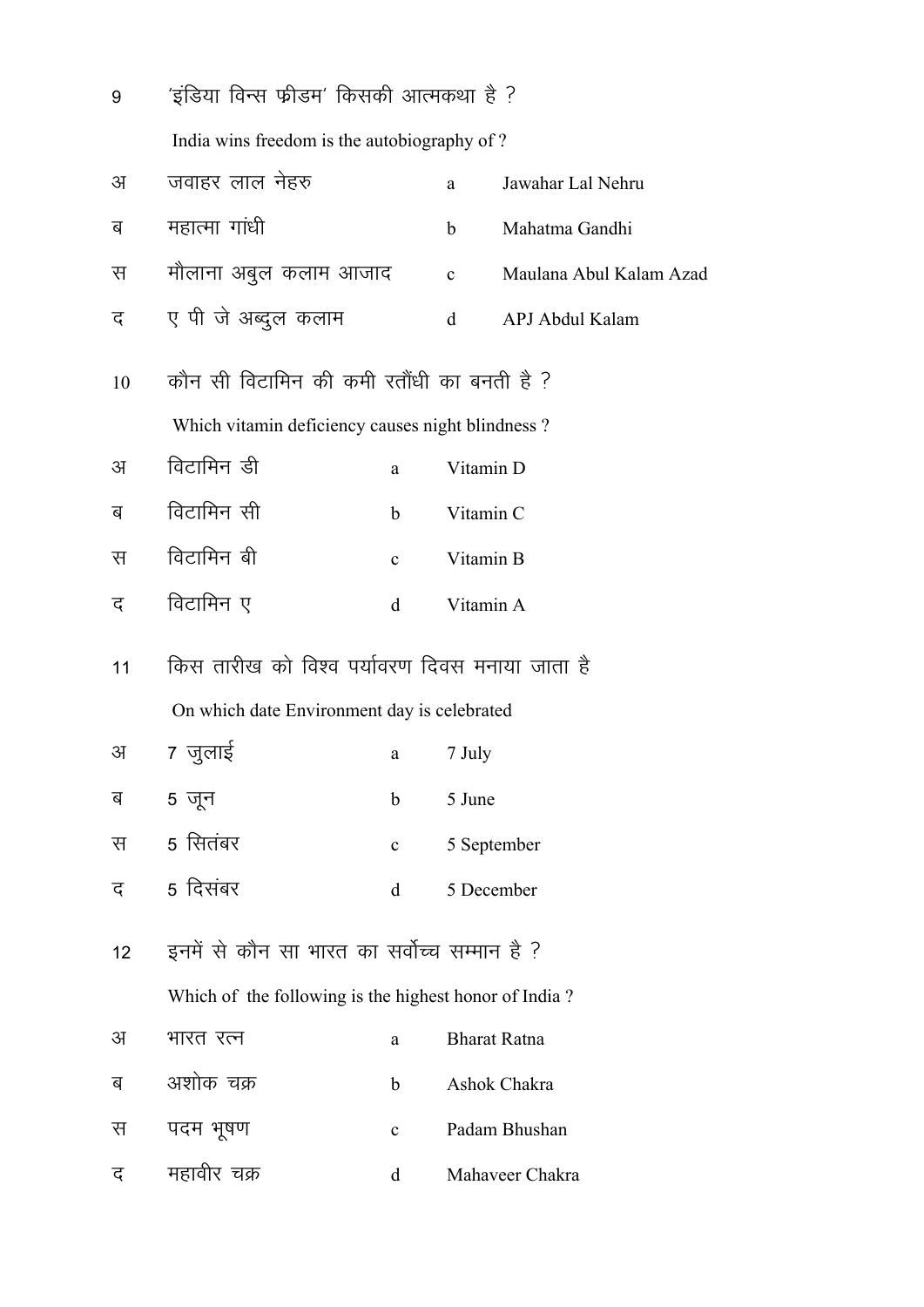| 9  | 'इंडिया विन्स फ्रीडम' किसकी आत्मकथा है ?              |              |             |                         |
|----|-------------------------------------------------------|--------------|-------------|-------------------------|
|    | India wins freedom is the autobiography of?           |              |             |                         |
| अ  | जवाहर लाल नेहरु                                       |              | a           | Jawahar Lal Nehru       |
| ब  | महात्मा गांधी                                         |              | $\mathbf b$ | Mahatma Gandhi          |
| स  | मौलाना अबुल कलाम आजाद                                 |              | $\mathbf c$ | Maulana Abul Kalam Azad |
| द  | ए पी जे अब्दुल कलाम                                   |              | d           | APJ Abdul Kalam         |
| 10 | कौन सी विटामिन की कमी रतौंधी का बनती है ?             |              |             |                         |
|    | Which vitamin deficiency causes night blindness?      |              |             |                         |
| अ  | विटामिन डी                                            | a            | Vitamin D   |                         |
| ब  | विटामिन सी                                            | $\mathbf b$  | Vitamin C   |                         |
| स  | विटामिन बी                                            | $\mathbf{c}$ | Vitamin B   |                         |
| द  | विटामिन ए                                             | d            | Vitamin A   |                         |
| 11 | किस तारीख को विश्व पर्यावरण दिवस मनाया जाता है        |              |             |                         |
|    | On which date Environment day is celebrated           |              |             |                         |
| अ  | 7 जुलाई                                               | a            | 7 July      |                         |
| ब  | 5 जून                                                 | $\mathbf b$  | 5 June      |                         |
| स  | 5 सितंबर                                              | $\mathbf{c}$ | 5 September |                         |
| द  | 5 दिसंबर                                              | $\mathbf d$  | 5 December  |                         |
| 12 | इनमें से कौन सा भारत का सर्वोच्च सम्मान है ?          |              |             |                         |
|    | Which of the following is the highest honor of India? |              |             |                         |
| अ  | भारत रत्न                                             | a            |             | <b>Bharat Ratna</b>     |
| ब  | अशोक चक्र                                             | $\mathbf b$  |             | Ashok Chakra            |
| स  | पदम भूषण                                              | $\mathbf{C}$ |             | Padam Bhushan           |
| द  | महावीर चक्र                                           | d            |             | Mahaveer Chakra         |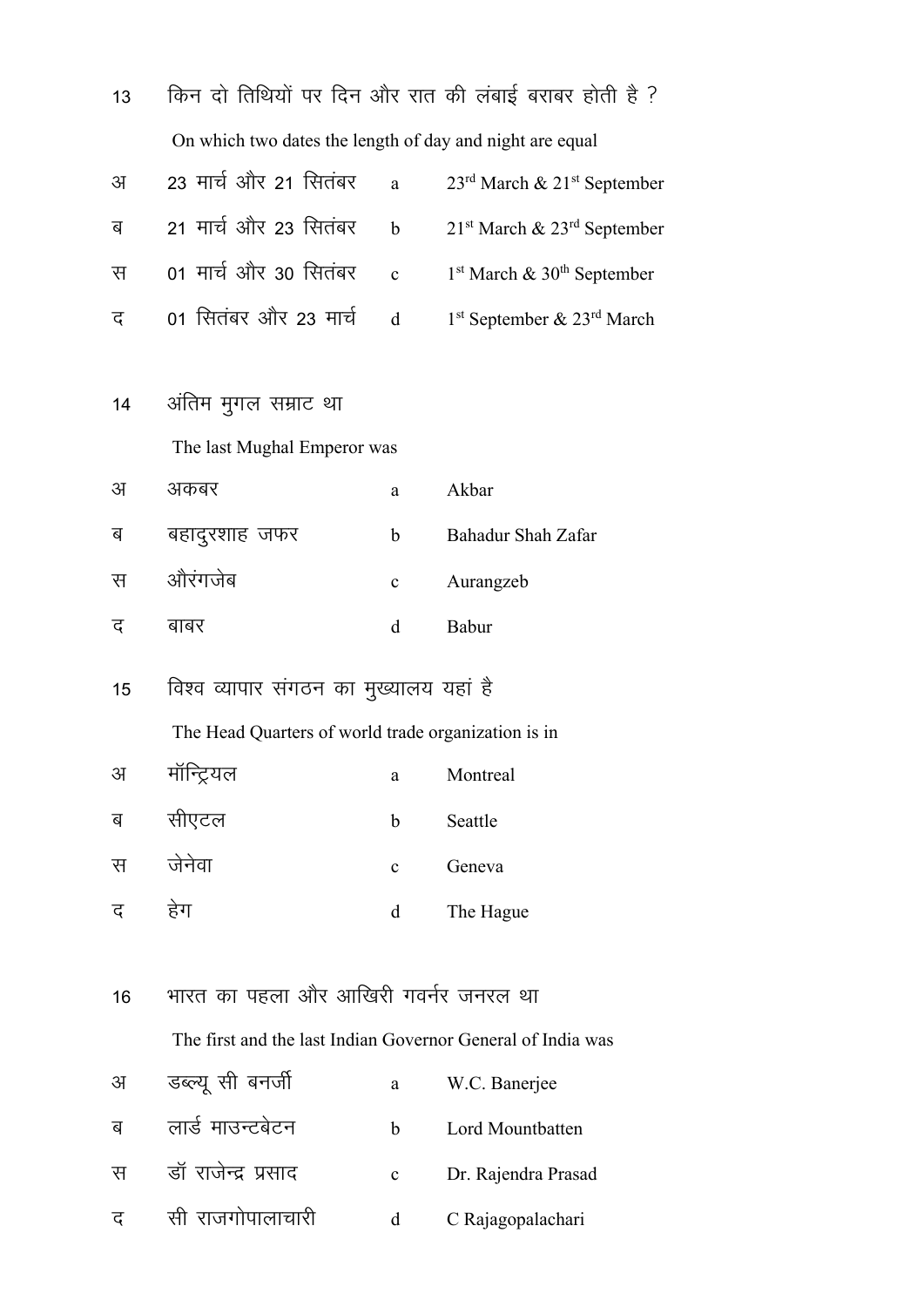| 13 |                                                             |              | किन दो तिथियों पर दिन और रात की लंबाई बराबर होती है ? |
|----|-------------------------------------------------------------|--------------|-------------------------------------------------------|
|    | On which two dates the length of day and night are equal    |              |                                                       |
| अ  | 23 मार्च और 21 सितंबर                                       | $\mathbf{a}$ | 23 <sup>rd</sup> March & 21 <sup>st</sup> September   |
| ब  | 21 मार्च और 23 सितंबर                                       | $\mathbf b$  | $21st$ March & $23rd$ September                       |
| स  | 01 मार्च और 30 सितंबर                                       | $\mathbf c$  | $1st$ March & $30th$ September                        |
| द  | 01 सितंबर और 23 मार्च                                       | $\mathbf d$  | $1st$ September & $23rd$ March                        |
|    |                                                             |              |                                                       |
| 14 | अंतिम मुगल सम्राट था                                        |              |                                                       |
|    | The last Mughal Emperor was                                 |              |                                                       |
| अ  | अकबर                                                        | a            | Akbar                                                 |
| ब  | बहादुरशाह जफर                                               | $\mathbf b$  | Bahadur Shah Zafar                                    |
| स  | औरंगजेब                                                     | $\mathbf c$  | Aurangzeb                                             |
| द  | बाबर                                                        | d            | Babur                                                 |
| 15 | विश्व व्यापार संगठन का मुख्यालय यहां है                     |              |                                                       |
|    |                                                             |              |                                                       |
|    | The Head Quarters of world trade organization is in         |              |                                                       |
| अ  | मॉन्ट्रियल                                                  |              | Montreal                                              |
| ब  | सीएटल                                                       | b            | Seattle                                               |
| स  | जेनेवा                                                      | $\mathbf c$  | Geneva                                                |
| द  | हेग                                                         | d            | The Hague                                             |
|    |                                                             |              |                                                       |
| 16 | भारत का पहला और आखिरी गवर्नर जनरल था                        |              |                                                       |
|    | The first and the last Indian Governor General of India was |              |                                                       |
| अ  | डब्ल्यू सी बनर्जी                                           | a            | W.C. Banerjee                                         |
| ब  | लार्ड माउन्टबेटन                                            | $\mathbf b$  | Lord Mountbatten                                      |
| स  | डॉ राजेन्द्र प्रसाद                                         | $\mathbf{C}$ | Dr. Rajendra Prasad                                   |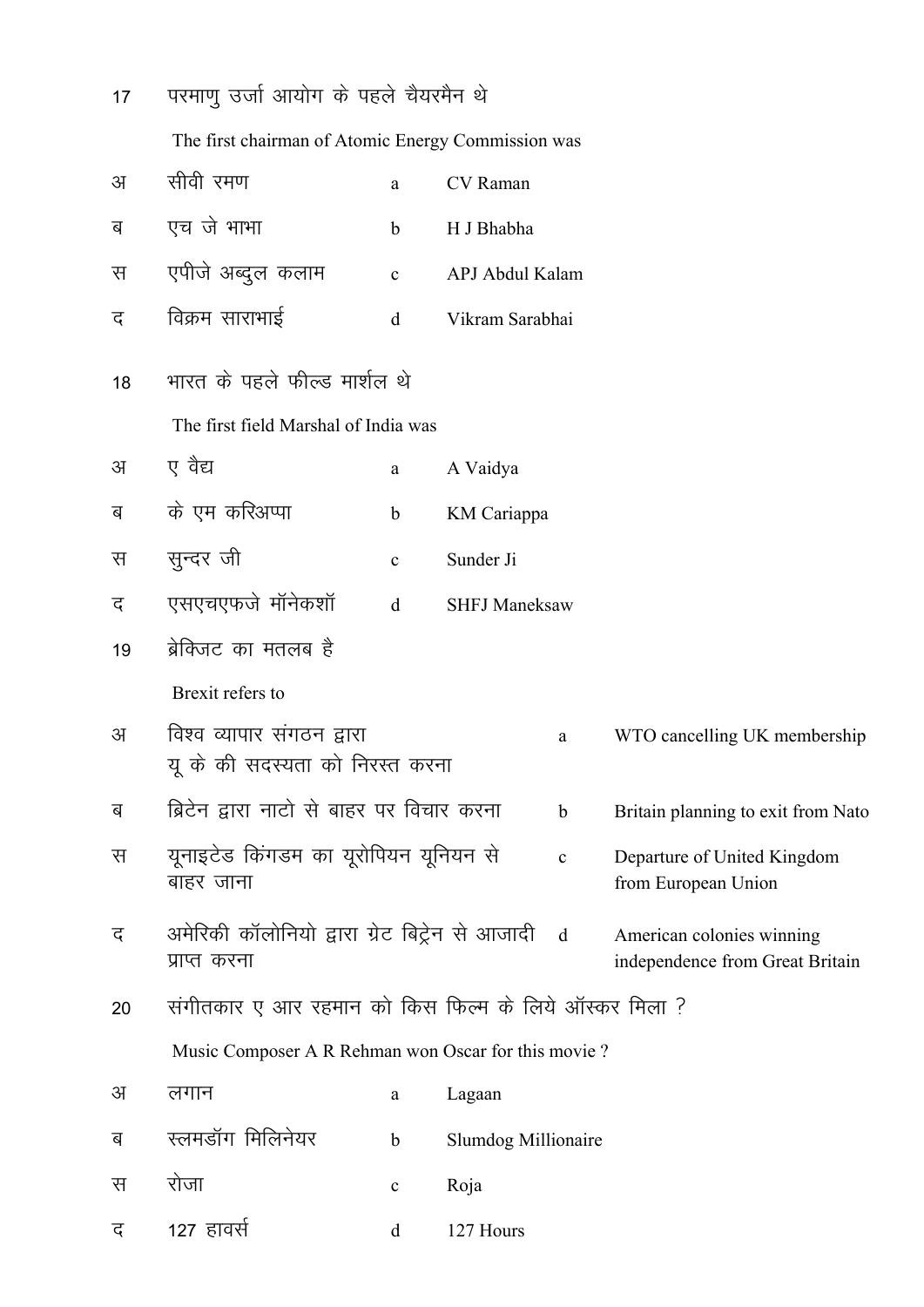| 17 | परमाणु उर्जा आयोग के पहले चैयरमैन थे                             |             |                      |             |                                                              |
|----|------------------------------------------------------------------|-------------|----------------------|-------------|--------------------------------------------------------------|
|    | The first chairman of Atomic Energy Commission was               |             |                      |             |                                                              |
| अ  | सीवी रमण                                                         | a           | CV Raman             |             |                                                              |
| ब  | एच जे भाभा                                                       | $\mathbf b$ | H J Bhabha           |             |                                                              |
| स  | एपीजे अब्दुल कलाम                                                | $\mathbf c$ | APJ Abdul Kalam      |             |                                                              |
| द  | विक्रम साराभाई                                                   | d           | Vikram Sarabhai      |             |                                                              |
| 18 | भारत के पहले फील्ड मार्शल थे                                     |             |                      |             |                                                              |
|    | The first field Marshal of India was                             |             |                      |             |                                                              |
| अ  | ए वैद्य                                                          | a           | A Vaidya             |             |                                                              |
| ब  | के एम करिअप्पा                                                   | b           | KM Cariappa          |             |                                                              |
| स  | सुन्दर जी                                                        | $\mathbf c$ | Sunder Ji            |             |                                                              |
| द  | एसएचएफजे मॉनेकशॉ                                                 | $\mathbf d$ | <b>SHFJ Maneksaw</b> |             |                                                              |
| 19 | ब्रेक्जिट का मतलब है                                             |             |                      |             |                                                              |
|    | Brexit refers to                                                 |             |                      |             |                                                              |
| अ  | विश्व व्यापार संगठन द्वारा<br>यू के की सदस्यता को निरस्त करना    |             |                      | a           | WTO cancelling UK membership                                 |
| ब  | ब्रिटेन द्वारा नाटो से बाहर पर विचार करना                        |             |                      | $\mathbf b$ | Britain planning to exit from Nato                           |
| स  | यूनाइटेड किंगडम का यूरोपियन यूनियन से<br>बाहर जाना               |             |                      | $\mathbf c$ | Departure of United Kingdom<br>from European Union           |
| द  | अमेरिकी कॉलोनियो द्वारा ग्रेट बिट्रेन से आजादी d<br>प्राप्त करना |             |                      |             | American colonies winning<br>independence from Great Britain |
| 20 | संगीतकार ए आर रहमान को किस फिल्म के लिये ऑस्कर मिला ?            |             |                      |             |                                                              |
|    | Music Composer A R Rehman won Oscar for this movie?              |             |                      |             |                                                              |
| अ  | लगान                                                             | a           | Lagaan               |             |                                                              |
| ब  | स्लमडॉंग मिलिनेयर                                                | $\mathbf b$ | Slumdog Millionaire  |             |                                                              |
| स  | रोजा                                                             | $\mathbf C$ | Roja                 |             |                                                              |
| द  | 127 हावर्स                                                       | d           | 127 Hours            |             |                                                              |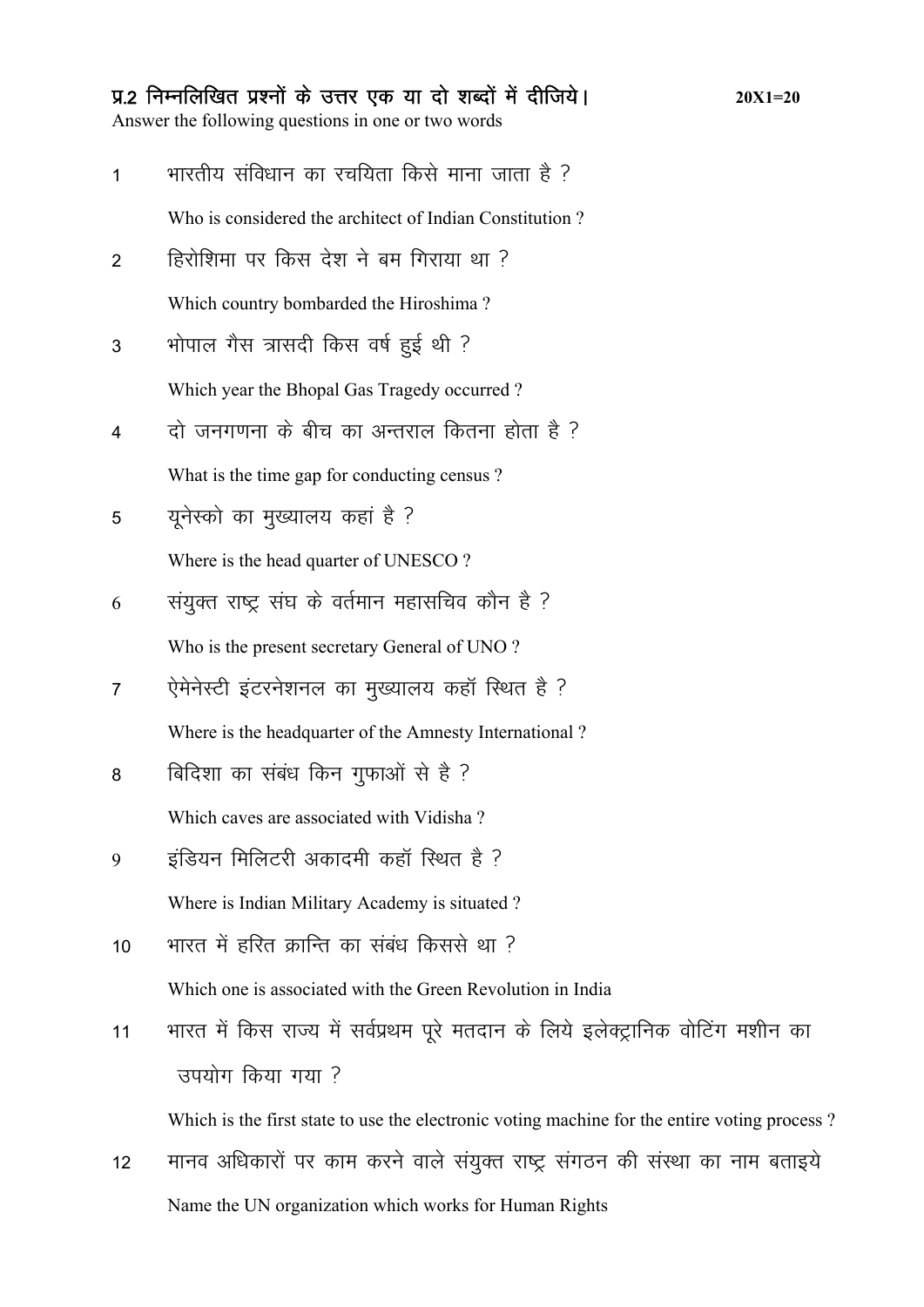#### प्र.2 निम्नलिखित प्रश्नों के उत्तर एक या दो शब्दों में दीजिये।

Answer the following questions in one or two words

- भारतीय संविधान का रचयिता किसे माना जाता है ?  $\mathbf{1}$ Who is considered the architect of Indian Constitution?
- हिरोशिमा पर किस देश ने बम गिराया था ?  $\overline{2}$

Which country bombarded the Hiroshima?

- भोपाल गैस त्रासदी किस वर्ष हुई थी ? 3 Which year the Bhopal Gas Tragedy occurred?
- दो जनगणना के बीच का अन्तराल कितना होता है ?  $\overline{4}$ What is the time gap for conducting census?
- युनेस्को का मुख्यालय कहां है ? 5 Where is the head quarter of UNESCO?
- संयुक्त राष्ट्र संघ के वर्तमान महासचिव कौन है ? 6 Who is the present secretary General of UNO?
- ऐमेनेस्टी इंटरनेशनल का मुख्यालय कहाँ स्थित है ?  $\overline{7}$ Where is the headquarter of the Amnesty International?
- बिदिशा का संबंध किन गुफाओं से है ? 8 Which caves are associated with Vidisha?
- इंडियन मिलिटरी अकादमी कहाँ स्थित है ? 9 Where is Indian Military Academy is situated?
- भारत में हरित क्रान्ति का संबंध किससे था ?  $10$ Which one is associated with the Green Revolution in India
- भारत में किस राज्य में सर्वप्रथम पूरे मतदान के लिये इलेक्ट्रानिक वोटिंग मशीन का  $11$ उपयोग किया गया ?

Which is the first state to use the electronic voting machine for the entire voting process?

मानव अधिकारों पर काम करने वाले संयुक्त राष्ट्र संगठन की संस्था का नाम बताइये  $12$ Name the UN organization which works for Human Rights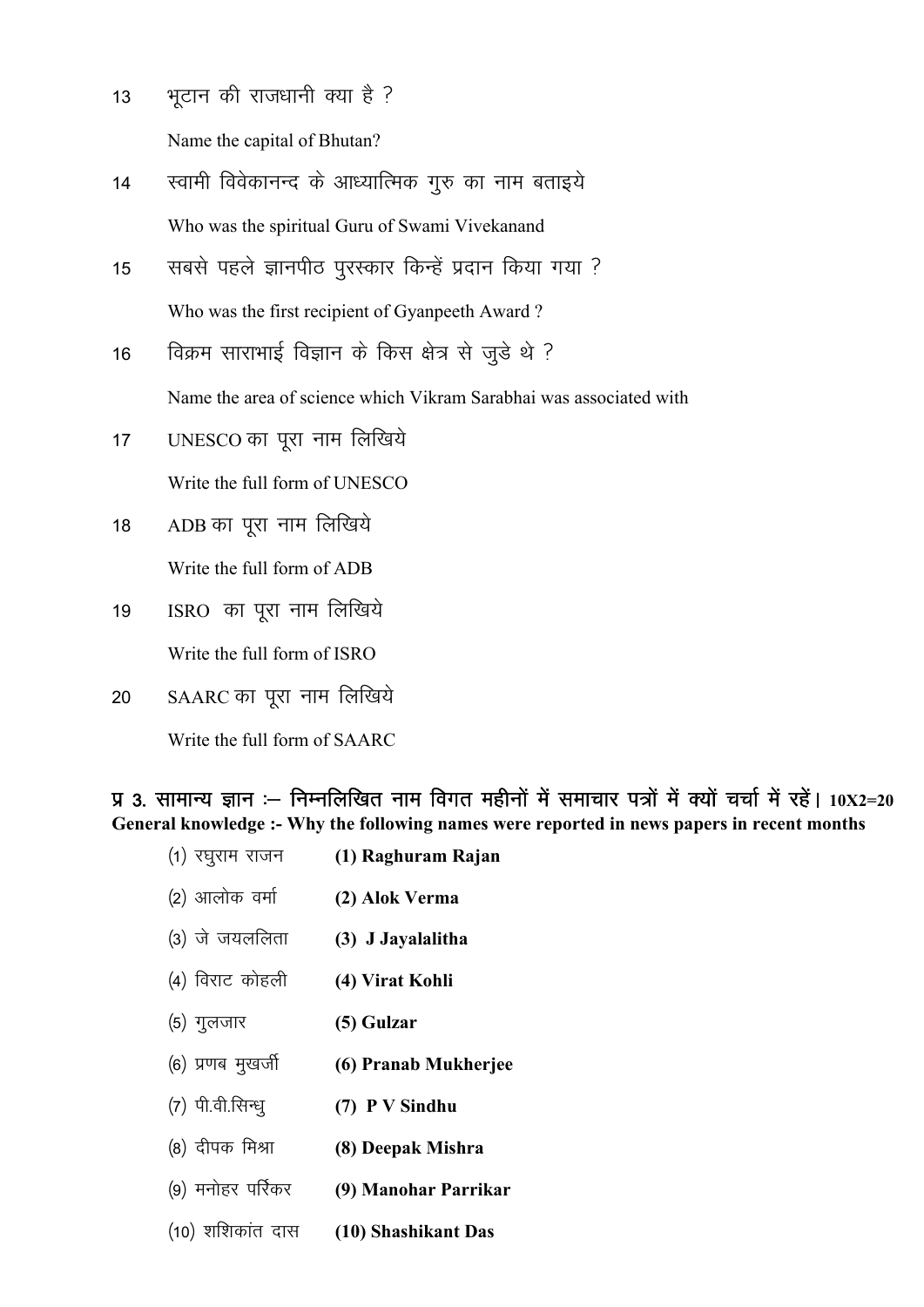- $13$  भटान की राजधानी क्या है ? Name the capital of Bhutan?
- 14 स्वामी विवेकानन्द के आध्यात्मिक गुरु का नाम बताइये Who was the spiritual Guru of Swami Vivekanand
- 15 सबसे पहले ज्ञानपीठ पुरस्कार किन्हें प्रदान किया गया ? Who was the first recipient of Gyanpeeth Award ?
- 16 विक्रम साराभाई विज्ञान के किस क्षेत्र से जुडे थे ?

Name the area of science which Vikram Sarabhai was associated with

- 17 UNESCO का पूरा नाम लिखिये Write the full form of UNESCO
- 18 ADB का पूरा नाम लिखिये Write the full form of ADB
- 19 ISRO का पूरा नाम लिखिये Write the full form of ISRO
- 20 SAARC का पूरा नाम लिखिये

Write the full form of SAARC

iz 3- lkekU; Kku %& fuEufyf[kr uke foxr eghuksa esa lekpkj i=ksa esa D;ksa ppkZ esa jgsaA **10X2=20 General knowledge :- Why the following names were reported in news papers in recent months** 

- (1) रघुराम राजन (1) Raghuram Rajan
- ¼2½ vkyksd oekZ **(2) Alok Verma**
- ¼3½ ts t;yfyrk **(3) J Jayalalitha**
- (4) विराट कोहली (4) Virat Kohli
- ¼5½ xqytkj **(5) Gulzar**
- (6) प्रणब मुखर्जी (6) Pranab Mukherjee
- (7) पी.वी.सिन्ध् (7) P V Sindhu
- <sup>(8)</sup> दीपक मिश्रा (8) Deepak Mishra
- <sup>(9)</sup> मनोहर पर्रिकर (9) Manohar Parrikar
- ¼10½ 'kf'kdkar nkl **(10) Shashikant Das**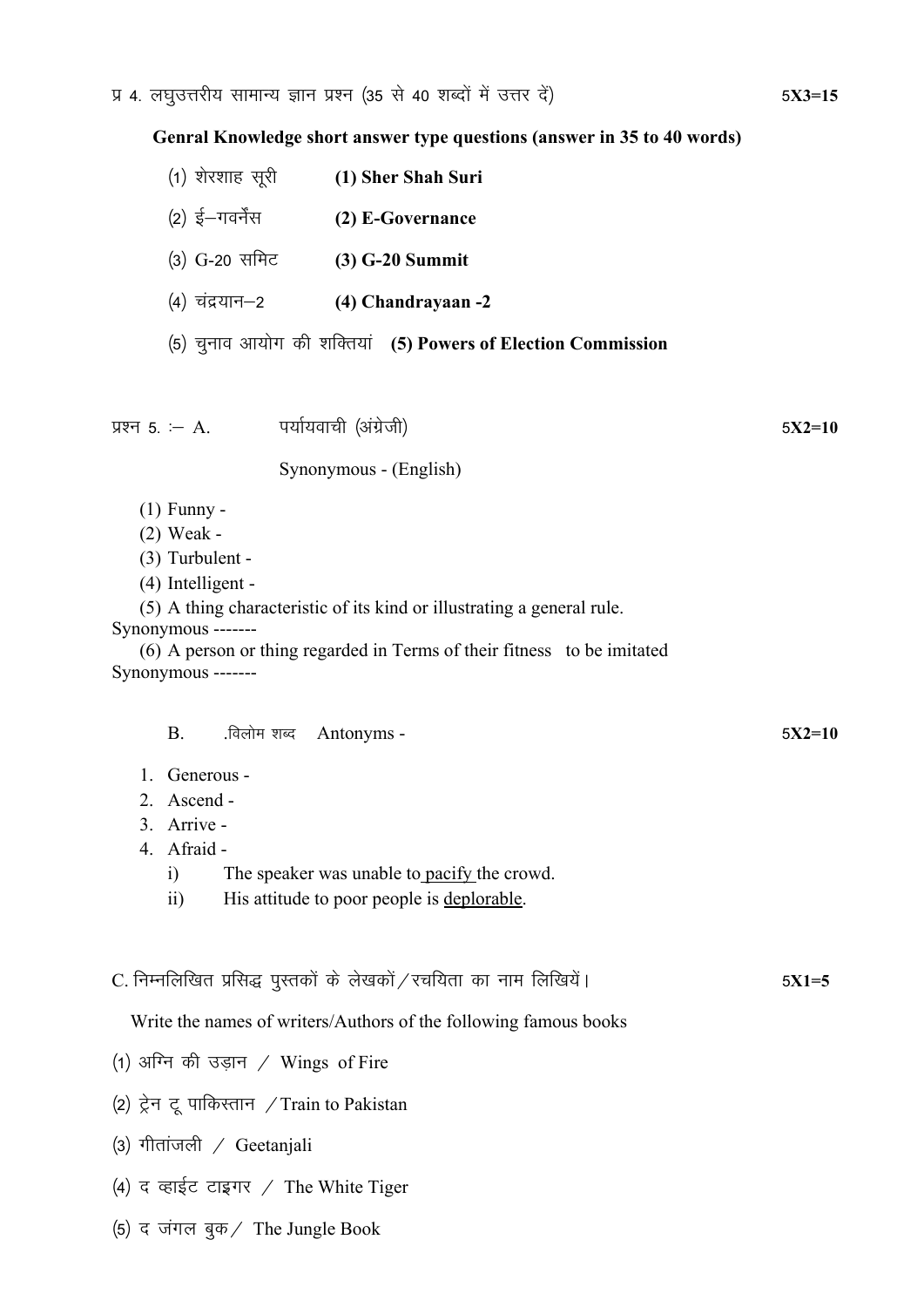**Genral Knowledge short answer type questions (answer in 35 to 40 words)**

| (1) शेरशाह सूरी  | (1) Sher Shah Suri                                           |
|------------------|--------------------------------------------------------------|
| $(2)$ ई—गवर्नेंस | (2) E-Governance                                             |
| (3) G-20 समिट    | $(3)$ G-20 Summit                                            |
| (4) चंद्रयान–2   | (4) Chandrayaan -2                                           |
|                  | (5) चुनाव आयोग की शक्तियां (5) Powers of Election Commission |
|                  |                                                              |

iz'u 5- %& A. i;kZ;okph ¼vaxzsth½ 5**X2=10**

Synonymous - (English)

(1) Funny -

(2) Weak -

(3) Turbulent -

(4) Intelligent -

(5) A thing characteristic of its kind or illustrating a general rule.

Synonymous -------

(6) A person or thing regarded in Terms of their fitness to be imitated Synonymous -------

| Generous -      |                                                                    |         |
|-----------------|--------------------------------------------------------------------|---------|
| 2. Ascend -     |                                                                    |         |
| 3. Arrive -     |                                                                    |         |
| 4. Afraid -     |                                                                    |         |
| $\ddot{i}$      | The speaker was unable to pacify the crowd.                        |         |
| $\overline{11}$ | His attitude to poor people is deplorable.                         |         |
|                 |                                                                    |         |
|                 |                                                                    |         |
|                 | C. निम्नलिखित प्रसिद्ध पुस्तकों के लेखकों ⁄ रचयिता का नाम लिखियें। | $5X1=5$ |
|                 |                                                                    |         |
|                 | Write the names of writers/Authors of the following famous books   |         |
|                 | (1) अग्नि की उड़ान / Wings of Fire                                 |         |
|                 | (2) ट्रेन टू पाकिस्तान / Train to Pakistan                         |         |
|                 | (3) गीतांजली / Geetanjali                                          |         |

B. .विलोम शब्द Antonyms - 5X2=10

(4) द व्हाईट टाइगर / The White Tiger

(5) द जंगल बुक $\ell$  The Jungle Book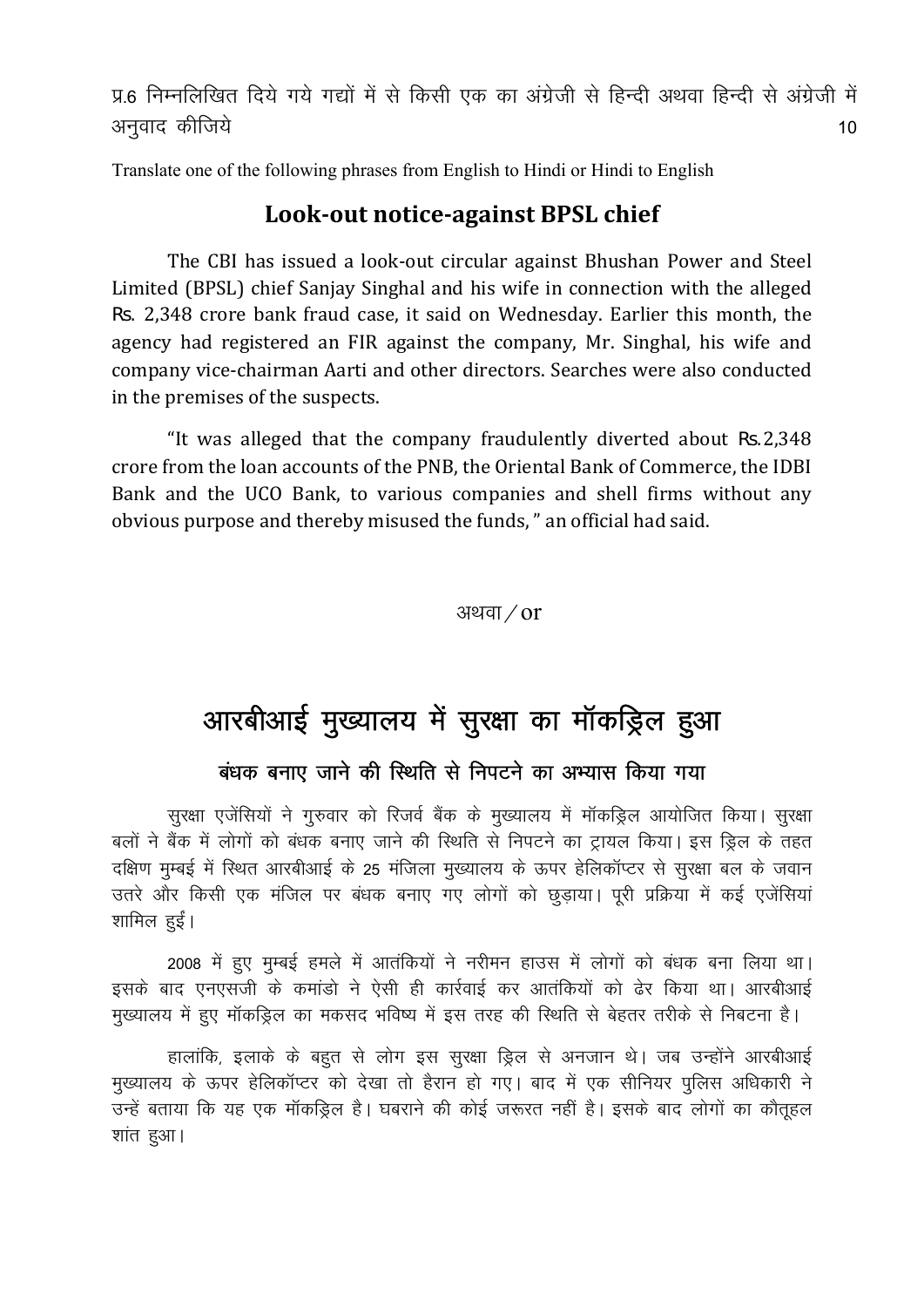प्र.6 निम्नलिखित दिये गये गद्यों में से किसी एक का अंग्रेजी से हिन्दी अथवा हिन्दी से अंग्रेजी में vuqokn dhft; s 10

Translate one of the following phrases from English to Hindi or Hindi to English

#### **Look‐out notice‐against BPSL chief**

The CBI has issued a look-out circular against Bhushan Power and Steel Limited (BPSL) chief Sanjay Singhal and his wife in connection with the alleged Rs. 2,348 crore bank fraud case, it said on Wednesday. Earlier this month, the agency had registered an FIR against the company, Mr. Singhal, his wife and company vice-chairman Aarti and other directors. Searches were also conducted in the premises of the suspects.

"It was alleged that the company fraudulently diverted about Rs.2,348 crore from the loan accounts of the PNB, the Oriental Bank of Commerce, the IDBI Bank and the UCO Bank, to various companies and shell firms without any obvious purpose and thereby misused the funds, " an official had said.

अथवा $\sigma$ 

## आरबीआई मुख्यालय में सुरक्षा का मॉकड्रिल हुआ

#### बंधक बनाए जाने की स्थिति से निपटने का अभ्यास किया गया

सुरक्षा एजेंसियों ने गुरुवार को रिजर्व बैंक के मुख्यालय में मॉकड्रिल आयोजित किया। सुरक्षा बलों ने बैंक में लोगों को बंधक बनाए जाने की स्थिति से निपटने का ट्रायल किया। इस ड्रिल के तहत दक्षिण मुम्बई में रिथित आरबीआई के 25 मंजिला मुख्यालय के ऊपर हेलिकॉप्टर से सुरक्षा बल के जवान उतरे और किसी एक मंजिल पर बंधक बनाए गए लोगों को छूड़ाया। पूरी प्रक्रिया में कई एजेंसियां शामिल हुईं।

2008 में हुए मुम्बई हमले में आतंकियों ने नरीमन हाउस में लोगों को बंधक बना लिया था। इसके बाद एनएसजी के कमांडो ने ऐसी ही कार्रवाई कर आतंकियों को ढेर किया था। आरबीआई मुख्यालय में हुए मॉकड्रिल का मकसद भविष्य में इस तरह की स्थिति से बेहतर तरीके से निबटना है।

हालांकि, इलाके के बहूत से लोग इस सुरक्षा ड्रिल से अनजान थे। जब उन्होंने आरबीआई मुख्यालय के ऊपर हेलिकॉप्टर को देखा तो हैरान हो गए। बाद में एक सीनियर पुलिस अधिकारी ने उन्हें बताया कि यह एक मॉकड्रिल है। घबराने की कोई जरूरत नहीं है। इसके बाद लोगों का कौतूहल शांत हुआ।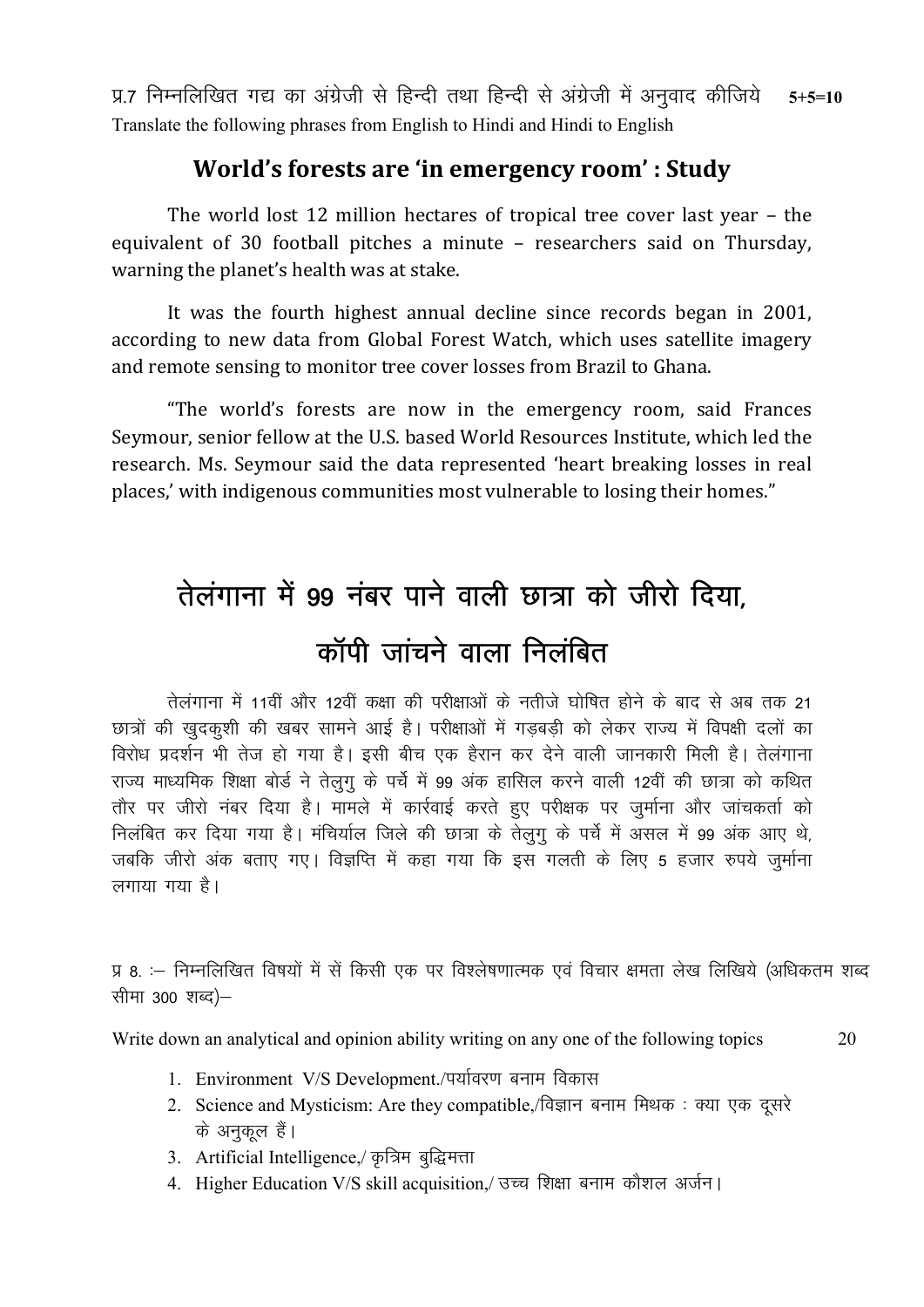प्र.7 निम्नलिखित गद्य का अंग्रेजी से हिन्दी तथा हिन्दी से अंग्रेजी में अनुवाद कीजिये  $5 + 5 = 10$ Translate the following phrases from English to Hindi and Hindi to English

### World's forests are 'in emergency room': Study

The world lost 12 million hectares of tropical tree cover last year - the equivalent of 30 football pitches a minute - researchers said on Thursday, warning the planet's health was at stake.

It was the fourth highest annual decline since records began in 2001, according to new data from Global Forest Watch, which uses satellite imagery and remote sensing to monitor tree cover losses from Brazil to Ghana.

"The world's forests are now in the emergency room, said Frances Seymour, senior fellow at the U.S. based World Resources Institute, which led the research. Ms. Seymour said the data represented 'heart breaking losses in real places,' with indigenous communities most vulnerable to losing their homes."

# तेलंगाना में 99 नंबर पाने वाली छात्रा को जीरो दिया. कॉपी जांचने वाला निलंबित

तेलंगाना में 11वीं और 12वीं कक्षा की परीक्षाओं के नतीजे घोषित होने के बाद से अब तक 21 छात्रों की खुदकुशी की खबर सामने आई है। परीक्षाओं में गड़बड़ी को लेकर राज्य में विपक्षी दलों का विरोध प्रदर्शन भी तेज हो गया है। इसी बीच एक हैरान कर देने वाली जानकारी मिली है। तेलंगाना राज्य माध्यमिक शिक्षा बोर्ड ने तेलुगू के पर्चे में 99 अंक हासिल करने वाली 12वीं की छात्रा को कथित तौर पर जीरो नंबर दिया है। मामले में कार्रवाई करते हुए परीक्षक पर जर्माना और जांचकर्ता को निलंबित कर दिया गया है। मंचिर्याल जिले की छात्रा के तेलुगू के पर्चे में असल में 99 अंक आए थे, जबकि जीरो अंक बताए गए। विज्ञप्ति में कहा गया कि इस गलती के लिए 5 हजार रुपये जर्माना लगाया गया है।

प्र 8. :– निम्नलिखित विषयों में सें किसी एक पर विश्लेषणात्मक एवं विचार क्षमता लेख लिखिये (अधिकतम शब्द सीमा 300 शब्द)–

20

Write down an analytical and opinion ability writing on any one of the following topics

- 1. Environment V/S Development./पर्यावरण बनाम विकास
	- 2. Science and Mysticism: Are they compatible,/विज्ञान बनाम मिथक: क्या एक दूसरे के अनकल हैं।
	- 3. Artificial Intelligence, कृत्रिम बुद्धिमत्ता
	- 4. Higher Education V/S skill acquisition,/ उच्च शिक्षा बनाम कौशल अर्जन।